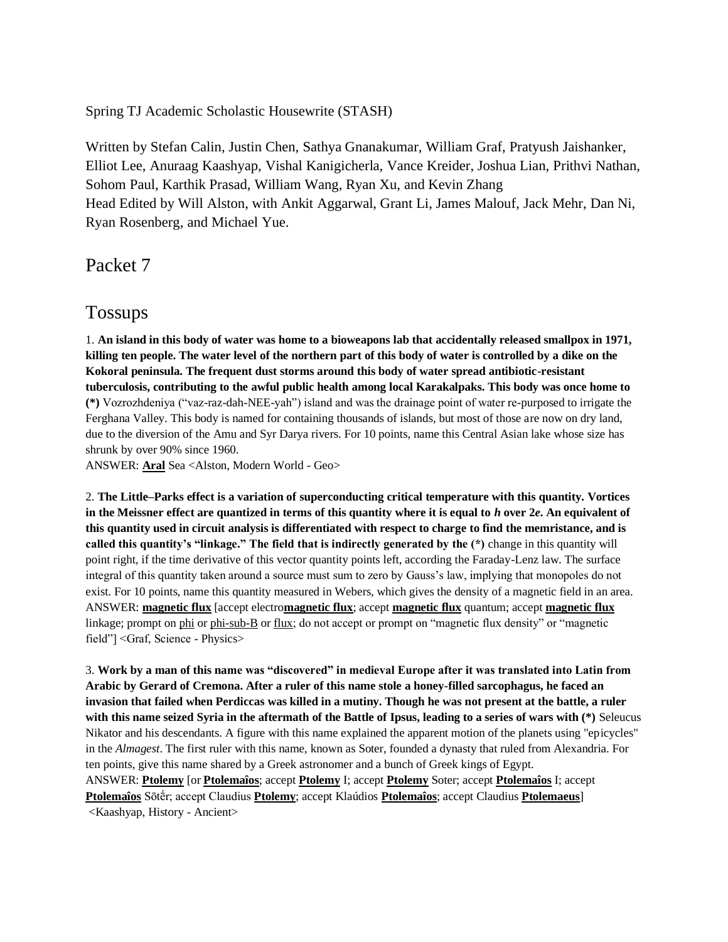Spring TJ Academic Scholastic Housewrite (STASH)

Written by Stefan Calin, Justin Chen, Sathya Gnanakumar, William Graf, Pratyush Jaishanker, Elliot Lee, Anuraag Kaashyap, Vishal Kanigicherla, Vance Kreider, Joshua Lian, Prithvi Nathan, Sohom Paul, Karthik Prasad, William Wang, Ryan Xu, and Kevin Zhang Head Edited by Will Alston, with Ankit Aggarwal, Grant Li, James Malouf, Jack Mehr, Dan Ni, Ryan Rosenberg, and Michael Yue.

Packet 7

## Tossups

1. **An island in this body of water was home to a bioweapons lab that accidentally released smallpox in 1971, killing ten people. The water level of the northern part of this body of water is controlled by a dike on the Kokoral peninsula. The frequent dust storms around this body of water spread antibiotic-resistant tuberculosis, contributing to the awful public health among local Karakalpaks. This body was once home to (\*)** Vozrozhdeniya ("vaz-raz-dah-NEE-yah") island and was the drainage point of water re-purposed to irrigate the Ferghana Valley. This body is named for containing thousands of islands, but most of those are now on dry land, due to the diversion of the Amu and Syr Darya rivers. For 10 points, name this Central Asian lake whose size has shrunk by over 90% since 1960.

ANSWER: **Aral** Sea <Alston, Modern World - Geo>

2. **The Little–Parks effect is a variation of superconducting critical temperature with this quantity. Vortices in the Meissner effect are quantized in terms of this quantity where it is equal to** *h* **over 2***e***. An equivalent of this quantity used in circuit analysis is differentiated with respect to charge to find the memristance, and is called this quantity's "linkage." The field that is indirectly generated by the (\*)** change in this quantity will point right, if the time derivative of this vector quantity points left, according the Faraday-Lenz law. The surface integral of this quantity taken around a source must sum to zero by Gauss's law, implying that monopoles do not exist. For 10 points, name this quantity measured in Webers, which gives the density of a magnetic field in an area. ANSWER: **magnetic flux** [accept electro**magnetic flux**; accept **magnetic flux** quantum; accept **magnetic flux** linkage; prompt on phi or phi-sub-B or flux; do not accept or prompt on "magnetic flux density" or "magnetic field"] <Graf, Science - Physics>

3. **Work by a man of this name was "discovered" in medieval Europe after it was translated into Latin from Arabic by Gerard of Cremona. After a ruler of this name stole a honey-filled sarcophagus, he faced an invasion that failed when Perdiccas was killed in a mutiny. Though he was not present at the battle, a ruler with this name seized Syria in the aftermath of the Battle of Ipsus, leading to a series of wars with (\*)** Seleucus Nikator and his descendants. A figure with this name explained the apparent motion of the planets using "epicycles" in the *Almagest*. The first ruler with this name, known as Soter, founded a dynasty that ruled from Alexandria. For ten points, give this name shared by a Greek astronomer and a bunch of Greek kings of Egypt. ANSWER: **Ptolemy** [or **Ptolemaîos**; accept **Ptolemy** I; accept **Ptolemy** Soter; accept **Ptolemaîos** I; accept **Ptolemaîos** Sōtḗr; accept Claudius **Ptolemy**; accept Klaúdios **Ptolemaîos**; accept Claudius **Ptolemaeus**] <Kaashyap, History - Ancient>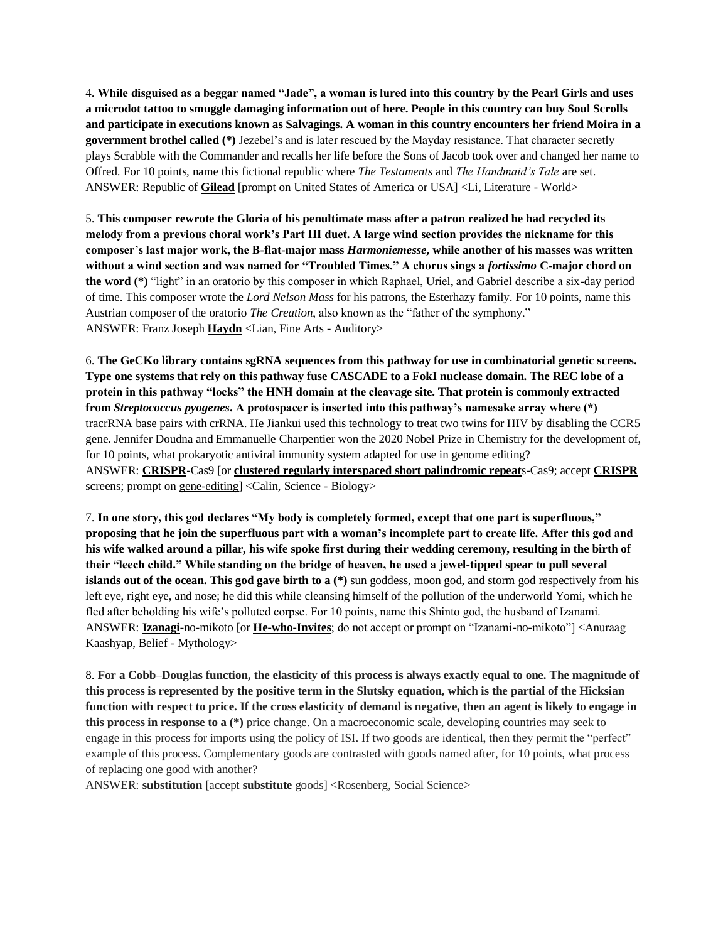4. **While disguised as a beggar named "Jade", a woman is lured into this country by the Pearl Girls and uses a microdot tattoo to smuggle damaging information out of here. People in this country can buy Soul Scrolls and participate in executions known as Salvagings. A woman in this country encounters her friend Moira in a government brothel called (\*)** Jezebel's and is later rescued by the Mayday resistance. That character secretly plays Scrabble with the Commander and recalls her life before the Sons of Jacob took over and changed her name to Offred. For 10 points, name this fictional republic where *The Testaments* and *The Handmaid's Tale* are set. ANSWER: Republic of **Gilead** [prompt on United States of America or USA] <Li, Literature - World>

5. **This composer rewrote the Gloria of his penultimate mass after a patron realized he had recycled its melody from a previous choral work's Part III duet. A large wind section provides the nickname for this composer's last major work, the B-flat-major mass** *Harmoniemesse***, while another of his masses was written without a wind section and was named for "Troubled Times." A chorus sings a** *fortissimo* **C-major chord on the word (\*)** "light" in an oratorio by this composer in which Raphael, Uriel, and Gabriel describe a six-day period of time. This composer wrote the *Lord Nelson Mass* for his patrons, the Esterhazy family. For 10 points, name this Austrian composer of the oratorio *The Creation*, also known as the "father of the symphony." ANSWER: Franz Joseph **Haydn** <Lian, Fine Arts - Auditory>

6. **The GeCKo library contains sgRNA sequences from this pathway for use in combinatorial genetic screens. Type one systems that rely on this pathway fuse CASCADE to a FokI nuclease domain. The REC lobe of a protein in this pathway "locks" the HNH domain at the cleavage site. That protein is commonly extracted from** *Streptococcus pyogenes***. A protospacer is inserted into this pathway's namesake array where (\*)**  tracrRNA base pairs with crRNA. He Jiankui used this technology to treat two twins for HIV by disabling the CCR5 gene. Jennifer Doudna and Emmanuelle Charpentier won the 2020 Nobel Prize in Chemistry for the development of, for 10 points, what prokaryotic antiviral immunity system adapted for use in genome editing? ANSWER: **CRISPR**-Cas9 [or **clustered regularly interspaced short palindromic repeat**s-Cas9; accept **CRISPR** screens; prompt on gene-editing] <Calin, Science - Biology>

7. **In one story, this god declares "My body is completely formed, except that one part is superfluous," proposing that he join the superfluous part with a woman's incomplete part to create life. After this god and his wife walked around a pillar, his wife spoke first during their wedding ceremony, resulting in the birth of their "leech child." While standing on the bridge of heaven, he used a jewel-tipped spear to pull several islands out of the ocean. This god gave birth to a** (\*) sun goddess, moon god, and storm god respectively from his left eye, right eye, and nose; he did this while cleansing himself of the pollution of the underworld Yomi, which he fled after beholding his wife's polluted corpse. For 10 points, name this Shinto god, the husband of Izanami. ANSWER: **Izanagi**-no-mikoto [or **He-who-Invites**; do not accept or prompt on "Izanami-no-mikoto"] <Anuraag Kaashyap, Belief - Mythology>

8. **For a Cobb–Douglas function, the elasticity of this process is always exactly equal to one. The magnitude of this process is represented by the positive term in the Slutsky equation, which is the partial of the Hicksian function with respect to price. If the cross elasticity of demand is negative, then an agent is likely to engage in this process in response to a (\*)** price change. On a macroeconomic scale, developing countries may seek to engage in this process for imports using the policy of ISI. If two goods are identical, then they permit the "perfect" example of this process. Complementary goods are contrasted with goods named after, for 10 points, what process of replacing one good with another?

ANSWER: **substitution** [accept **substitute** goods] <Rosenberg, Social Science>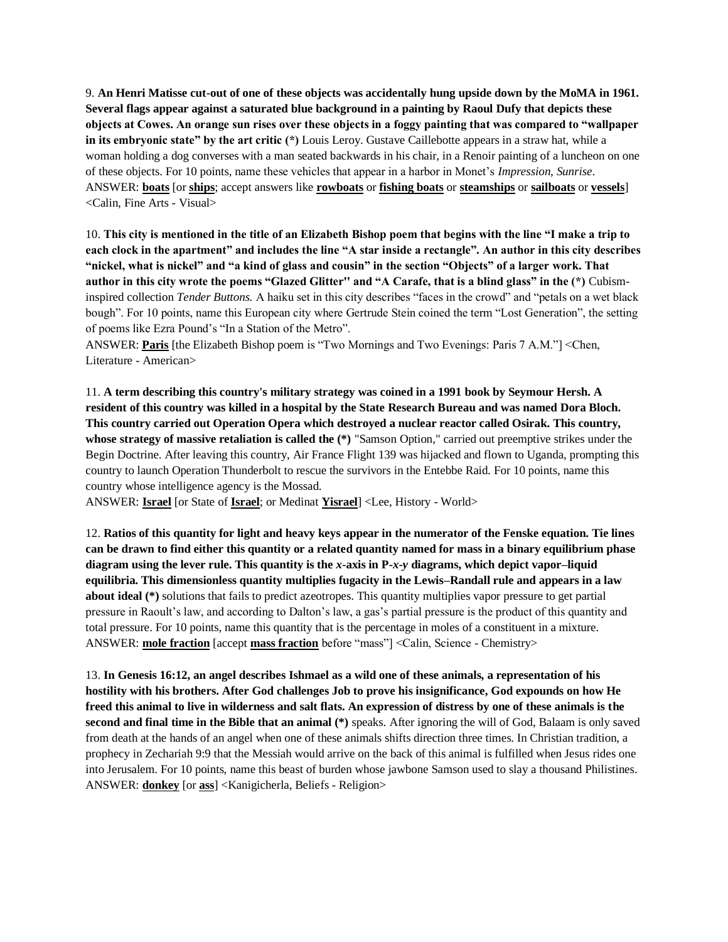9. **An Henri Matisse cut-out of one of these objects was accidentally hung upside down by the MoMA in 1961. Several flags appear against a saturated blue background in a painting by Raoul Dufy that depicts these objects at Cowes. An orange sun rises over these objects in a foggy painting that was compared to "wallpaper in its embryonic state" by the art critic (\*)** Louis Leroy. Gustave Caillebotte appears in a straw hat, while a woman holding a dog converses with a man seated backwards in his chair, in a Renoir painting of a luncheon on one of these objects. For 10 points, name these vehicles that appear in a harbor in Monet's *Impression, Sunrise*. ANSWER: **boats** [or **ships**; accept answers like **rowboats** or **fishing boats** or **steamships** or **sailboats** or **vessels**] <Calin, Fine Arts - Visual>

10. **This city is mentioned in the title of an Elizabeth Bishop poem that begins with the line "I make a trip to each clock in the apartment" and includes the line "A star inside a rectangle". An author in this city describes "nickel, what is nickel" and "a kind of glass and cousin" in the section "Objects" of a larger work. That author in this city wrote the poems "Glazed Glitter'' and "A Carafe, that is a blind glass" in the (\*)** Cubisminspired collection *Tender Buttons.* A haiku set in this city describes "faces in the crowd" and "petals on a wet black bough". For 10 points, name this European city where Gertrude Stein coined the term "Lost Generation", the setting of poems like Ezra Pound's "In a Station of the Metro".

ANSWER: **Paris** [the Elizabeth Bishop poem is "Two Mornings and Two Evenings: Paris 7 A.M."] <Chen, Literature - American>

11. **A term describing this country's military strategy was coined in a 1991 book by Seymour Hersh. A resident of this country was killed in a hospital by the State Research Bureau and was named Dora Bloch. This country carried out Operation Opera which destroyed a nuclear reactor called Osirak. This country, whose strategy of massive retaliation is called the (\*)** "Samson Option," carried out preemptive strikes under the Begin Doctrine. After leaving this country, Air France Flight 139 was hijacked and flown to Uganda, prompting this country to launch Operation Thunderbolt to rescue the survivors in the Entebbe Raid. For 10 points, name this country whose intelligence agency is the Mossad.

ANSWER: **Israel** [or State of **Israel**; or Medinat **Yisrael**] <Lee, History - World>

12. **Ratios of this quantity for light and heavy keys appear in the numerator of the Fenske equation. Tie lines can be drawn to find either this quantity or a related quantity named for mass in a binary equilibrium phase diagram using the lever rule. This quantity is the** *x***-axis in P-***x***-***y* **diagrams, which depict vapor–liquid equilibria. This dimensionless quantity multiplies fugacity in the Lewis–Randall rule and appears in a law about ideal (\*)** solutions that fails to predict azeotropes. This quantity multiplies vapor pressure to get partial pressure in Raoult's law, and according to Dalton's law, a gas's partial pressure is the product of this quantity and total pressure. For 10 points, name this quantity that is the percentage in moles of a constituent in a mixture. ANSWER: **mole fraction** [accept **mass fraction** before "mass"] <Calin, Science - Chemistry>

13. **In Genesis 16:12, an angel describes Ishmael as a wild one of these animals, a representation of his hostility with his brothers. After God challenges Job to prove his insignificance, God expounds on how He freed this animal to live in wilderness and salt flats. An expression of distress by one of these animals is the second and final time in the Bible that an animal (\*)** speaks. After ignoring the will of God, Balaam is only saved from death at the hands of an angel when one of these animals shifts direction three times. In Christian tradition, a prophecy in Zechariah 9:9 that the Messiah would arrive on the back of this animal is fulfilled when Jesus rides one into Jerusalem. For 10 points, name this beast of burden whose jawbone Samson used to slay a thousand Philistines. ANSWER: **donkey** [or **ass**] <Kanigicherla, Beliefs - Religion>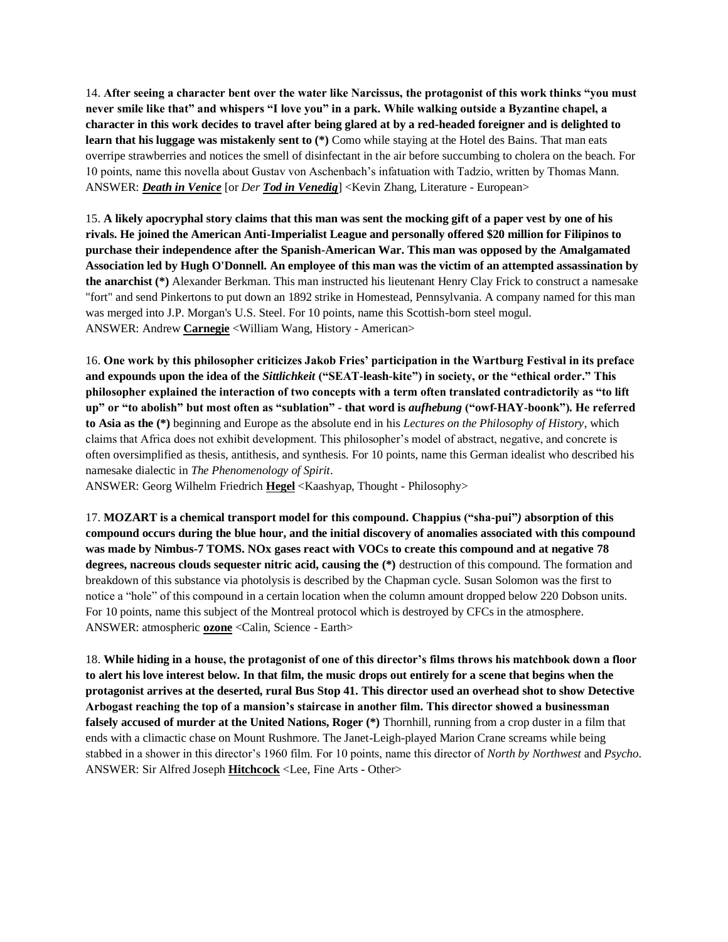14. **After seeing a character bent over the water like Narcissus, the protagonist of this work thinks "you must never smile like that" and whispers "I love you" in a park. While walking outside a Byzantine chapel, a character in this work decides to travel after being glared at by a red-headed foreigner and is delighted to**  learn that his luggage was mistakenly sent to (\*) Como while staying at the Hotel des Bains. That man eats overripe strawberries and notices the smell of disinfectant in the air before succumbing to cholera on the beach. For 10 points, name this novella about Gustav von Aschenbach's infatuation with Tadzio, written by Thomas Mann. ANSWER: *Death in Venice* [or *Der Tod in Venedig*] <Kevin Zhang, Literature - European>

15. **A likely apocryphal story claims that this man was sent the mocking gift of a paper vest by one of his rivals. He joined the American Anti-Imperialist League and personally offered \$20 million for Filipinos to purchase their independence after the Spanish-American War. This man was opposed by the Amalgamated Association led by Hugh O'Donnell. An employee of this man was the victim of an attempted assassination by the anarchist (\*)** Alexander Berkman. This man instructed his lieutenant Henry Clay Frick to construct a namesake "fort" and send Pinkertons to put down an 1892 strike in Homestead, Pennsylvania. A company named for this man was merged into J.P. Morgan's U.S. Steel. For 10 points, name this Scottish-born steel mogul. ANSWER: Andrew **Carnegie** <William Wang, History - American>

16. **One work by this philosopher criticizes Jakob Fries' participation in the Wartburg Festival in its preface and expounds upon the idea of the** *Sittlichkeit* **("SEAT-leash-kite") in society, or the "ethical order." This philosopher explained the interaction of two concepts with a term often translated contradictorily as "to lift up" or "to abolish" but most often as "sublation" - that word is** *aufhebung* **("owf-HAY-boonk"). He referred to Asia as the (\*)** beginning and Europe as the absolute end in his *Lectures on the Philosophy of History*, which claims that Africa does not exhibit development. This philosopher's model of abstract, negative, and concrete is often oversimplified as thesis, antithesis, and synthesis. For 10 points, name this German idealist who described his namesake dialectic in *The Phenomenology of Spirit*.

ANSWER: Georg Wilhelm Friedrich **Hegel** <Kaashyap, Thought - Philosophy>

17. **MOZART is a chemical transport model for this compound. Chappius ("sha-pui"***)* **absorption of this compound occurs during the blue hour, and the initial discovery of anomalies associated with this compound was made by Nimbus-7 TOMS. NOx gases react with VOCs to create this compound and at negative 78 degrees, nacreous clouds sequester nitric acid, causing the (\*)** destruction of this compound. The formation and breakdown of this substance via photolysis is described by the Chapman cycle. Susan Solomon was the first to notice a "hole" of this compound in a certain location when the column amount dropped below 220 Dobson units. For 10 points, name this subject of the Montreal protocol which is destroyed by CFCs in the atmosphere. ANSWER: atmospheric **ozone** <Calin, Science - Earth>

18. **While hiding in a house, the protagonist of one of this director's films throws his matchbook down a floor to alert his love interest below. In that film, the music drops out entirely for a scene that begins when the protagonist arrives at the deserted, rural Bus Stop 41. This director used an overhead shot to show Detective Arbogast reaching the top of a mansion's staircase in another film. This director showed a businessman falsely accused of murder at the United Nations, Roger (\*)** Thornhill, running from a crop duster in a film that ends with a climactic chase on Mount Rushmore. The Janet-Leigh-played Marion Crane screams while being stabbed in a shower in this director's 1960 film. For 10 points, name this director of *North by Northwest* and *Psycho*. ANSWER: Sir Alfred Joseph **Hitchcock** <Lee, Fine Arts - Other>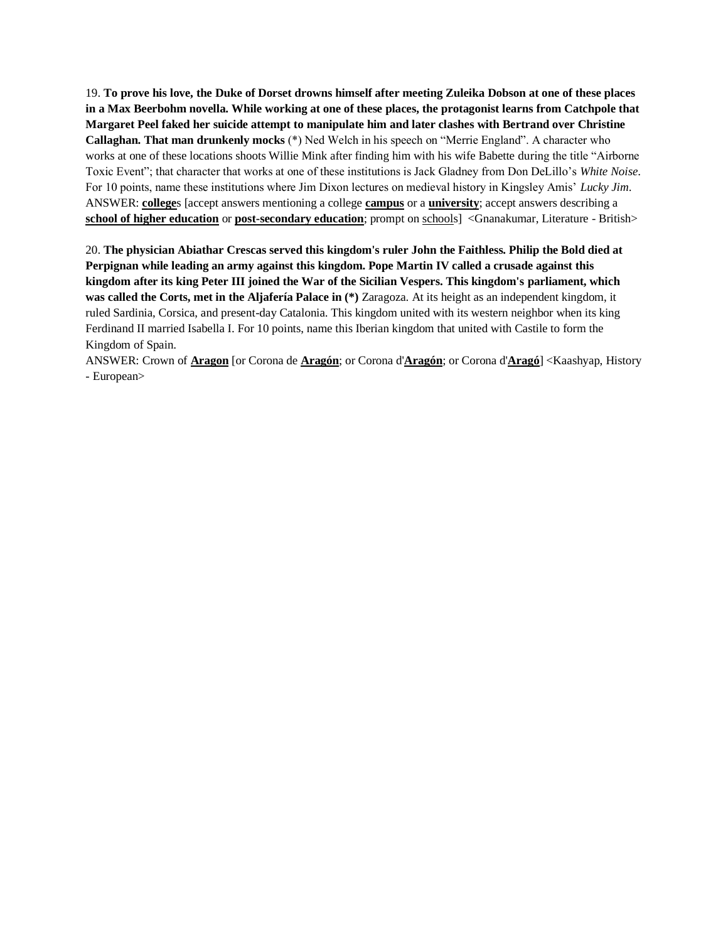19. **To prove his love, the Duke of Dorset drowns himself after meeting Zuleika Dobson at one of these places in a Max Beerbohm novella. While working at one of these places, the protagonist learns from Catchpole that Margaret Peel faked her suicide attempt to manipulate him and later clashes with Bertrand over Christine Callaghan. That man drunkenly mocks** (\*) Ned Welch in his speech on "Merrie England". A character who works at one of these locations shoots Willie Mink after finding him with his wife Babette during the title "Airborne Toxic Event"; that character that works at one of these institutions is Jack Gladney from Don DeLillo's *White Noise*. For 10 points, name these institutions where Jim Dixon lectures on medieval history in Kingsley Amis' *Lucky Jim*. ANSWER: **college**s [accept answers mentioning a college **campus** or a **university**; accept answers describing a **school of higher education** or **post-secondary education**; prompt on schools] <Gnanakumar, Literature - British>

20. **The physician Abiathar Crescas served this kingdom's ruler John the Faithless. Philip the Bold died at Perpignan while leading an army against this kingdom. Pope Martin IV called a crusade against this kingdom after its king Peter III joined the War of the Sicilian Vespers. This kingdom's parliament, which was called the Corts, met in the Aljafería Palace in (\*)** Zaragoza. At its height as an independent kingdom, it ruled Sardinia, Corsica, and present-day Catalonia. This kingdom united with its western neighbor when its king Ferdinand II married Isabella I. For 10 points, name this Iberian kingdom that united with Castile to form the Kingdom of Spain.

ANSWER: Crown of **Aragon** [or Corona de **Aragón**; or Corona d'**Aragón**; or Corona d'**Aragó**] <Kaashyap, History - European>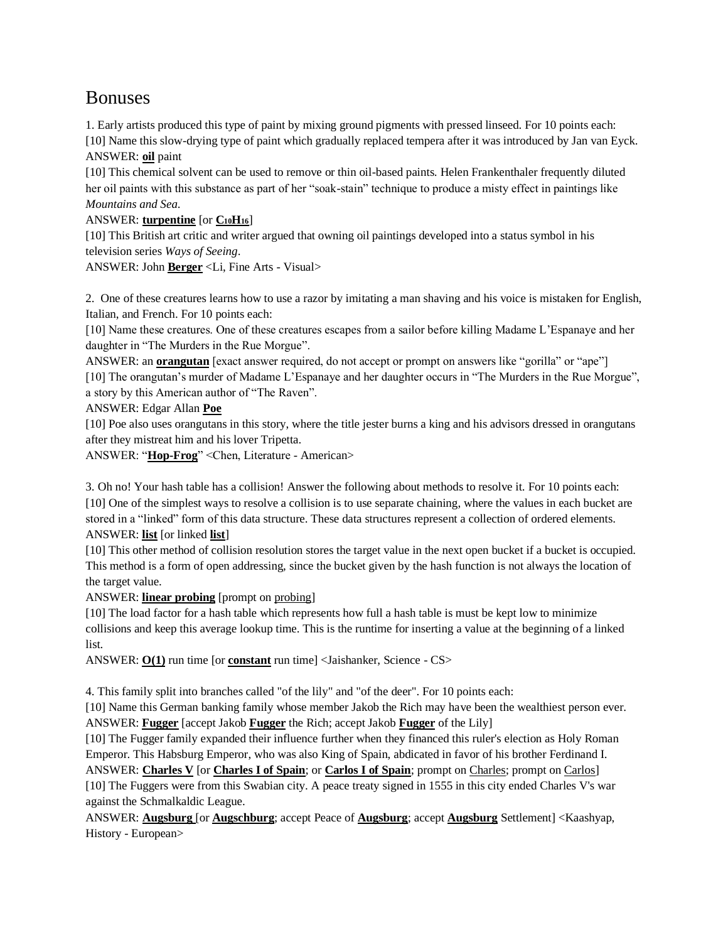# Bonuses

1. Early artists produced this type of paint by mixing ground pigments with pressed linseed. For 10 points each: [10] Name this slow-drying type of paint which gradually replaced tempera after it was introduced by Jan van Eyck. ANSWER: **oil** paint

[10] This chemical solvent can be used to remove or thin oil-based paints. Helen Frankenthaler frequently diluted her oil paints with this substance as part of her "soak-stain" technique to produce a misty effect in paintings like *Mountains and Sea*.

ANSWER: **turpentine** [or  $C_{10}H_{16}$ ]

[10] This British art critic and writer argued that owning oil paintings developed into a status symbol in his television series *Ways of Seeing*.

ANSWER: John **Berger** <Li, Fine Arts - Visual>

2. One of these creatures learns how to use a razor by imitating a man shaving and his voice is mistaken for English, Italian, and French. For 10 points each:

[10] Name these creatures. One of these creatures escapes from a sailor before killing Madame L'Espanaye and her daughter in "The Murders in the Rue Morgue".

ANSWER: an **orangutan** [exact answer required, do not accept or prompt on answers like "gorilla" or "ape"] [10] The orangutan's murder of Madame L'Espanaye and her daughter occurs in "The Murders in the Rue Morgue", a story by this American author of "The Raven".

ANSWER: Edgar Allan **Poe**

[10] Poe also uses orangutans in this story, where the title jester burns a king and his advisors dressed in orangutans after they mistreat him and his lover Tripetta.

ANSWER: "**Hop-Frog**" <Chen, Literature - American>

3. Oh no! Your hash table has a collision! Answer the following about methods to resolve it. For 10 points each: [10] One of the simplest ways to resolve a collision is to use separate chaining, where the values in each bucket are stored in a "linked" form of this data structure. These data structures represent a collection of ordered elements. ANSWER: **list** [or linked **list**]

[10] This other method of collision resolution stores the target value in the next open bucket if a bucket is occupied. This method is a form of open addressing, since the bucket given by the hash function is not always the location of the target value.

ANSWER: **linear probing** [prompt on probing]

[10] The load factor for a hash table which represents how full a hash table is must be kept low to minimize collisions and keep this average lookup time. This is the runtime for inserting a value at the beginning of a linked list.

ANSWER: **O(1)** run time [or **constant** run time] <Jaishanker, Science - CS>

4. This family split into branches called "of the lily" and "of the deer". For 10 points each:

[10] Name this German banking family whose member Jakob the Rich may have been the wealthiest person ever. ANSWER: **Fugger** [accept Jakob **Fugger** the Rich; accept Jakob **Fugger** of the Lily]

[10] The Fugger family expanded their influence further when they financed this ruler's election as Holy Roman Emperor. This Habsburg Emperor, who was also King of Spain, abdicated in favor of his brother Ferdinand I.

ANSWER: **Charles V** [or **Charles I of Spain**; or **Carlos I of Spain**; prompt on Charles; prompt on Carlos] [10] The Fuggers were from this Swabian city. A peace treaty signed in 1555 in this city ended Charles V's war against the Schmalkaldic League.

ANSWER: **Augsburg** [or **Augschburg**; accept Peace of **Augsburg**; accept **Augsburg** Settlement] <Kaashyap, History - European>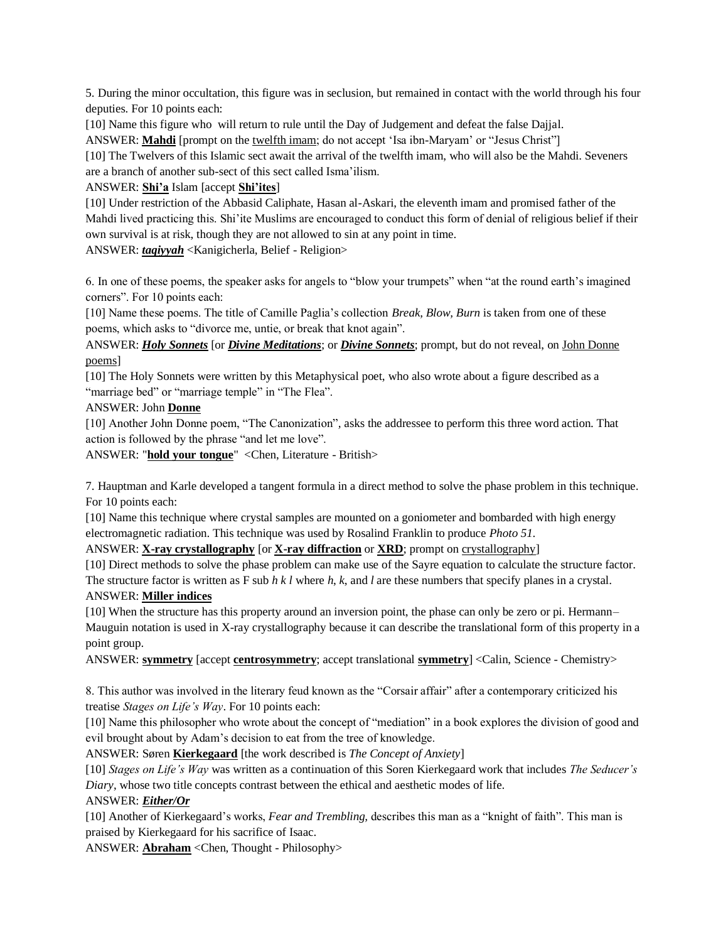5. During the minor occultation, this figure was in seclusion, but remained in contact with the world through his four deputies. For 10 points each:

[10] Name this figure who will return to rule until the Day of Judgement and defeat the false Dajjal.

ANSWER: **Mahdi** [prompt on the twelfth imam; do not accept 'Isa ibn-Maryam' or "Jesus Christ"]

[10] The Twelvers of this Islamic sect await the arrival of the twelfth imam, who will also be the Mahdi. Seveners are a branch of another sub-sect of this sect called Isma'ilism.

ANSWER: **Shi'a** Islam [accept **Shi'ites**]

[10] Under restriction of the Abbasid Caliphate, Hasan al-Askari, the eleventh imam and promised father of the Mahdi lived practicing this. Shi'ite Muslims are encouraged to conduct this form of denial of religious belief if their own survival is at risk, though they are not allowed to sin at any point in time.

ANSWER: *taqiyyah* <Kanigicherla, Belief - Religion>

6. In one of these poems, the speaker asks for angels to "blow your trumpets" when "at the round earth's imagined corners". For 10 points each:

[10] Name these poems. The title of Camille Paglia's collection *Break, Blow, Burn* is taken from one of these poems, which asks to "divorce me, untie, or break that knot again".

ANSWER: *Holy Sonnets* [or *Divine Meditations*; or *Divine Sonnets*; prompt, but do not reveal, on John Donne poems]

[10] The Holy Sonnets were written by this Metaphysical poet, who also wrote about a figure described as a "marriage bed" or "marriage temple" in "The Flea".

#### ANSWER: John **Donne**

[10] Another John Donne poem, "The Canonization"*,* asks the addressee to perform this three word action. That action is followed by the phrase "and let me love".

ANSWER: "**hold your tongue**" <Chen, Literature - British>

7. Hauptman and Karle developed a tangent formula in a direct method to solve the phase problem in this technique. For 10 points each:

[10] Name this technique where crystal samples are mounted on a goniometer and bombarded with high energy electromagnetic radiation. This technique was used by Rosalind Franklin to produce *Photo 51*.

ANSWER: **X-ray crystallography** [or **X-ray diffraction** or **XRD**; prompt on crystallography]

[10] Direct methods to solve the phase problem can make use of the Sayre equation to calculate the structure factor. The structure factor is written as F sub *h k l* where *h*, *k*, and *l* are these numbers that specify planes in a crystal.

#### ANSWER: **Miller indices**

[10] When the structure has this property around an inversion point, the phase can only be zero or pi. Hermann– Mauguin notation is used in X-ray crystallography because it can describe the translational form of this property in a point group.

ANSWER: **symmetry** [accept **centrosymmetry**; accept translational **symmetry**] <Calin, Science - Chemistry>

8. This author was involved in the literary feud known as the "Corsair affair" after a contemporary criticized his treatise *Stages on Life's Way*. For 10 points each:

[10] Name this philosopher who wrote about the concept of "mediation" in a book explores the division of good and evil brought about by Adam's decision to eat from the tree of knowledge.

ANSWER: Søren **Kierkegaard** [the work described is *The Concept of Anxiety*]

[10] *Stages on Life's Way* was written as a continuation of this Soren Kierkegaard work that includes *The Seducer's Diary*, whose two title concepts contrast between the ethical and aesthetic modes of life.

#### ANSWER: *Either/Or*

[10] Another of Kierkegaard's works, *Fear and Trembling,* describes this man as a "knight of faith". This man is praised by Kierkegaard for his sacrifice of Isaac.

ANSWER: **Abraham** <Chen, Thought - Philosophy>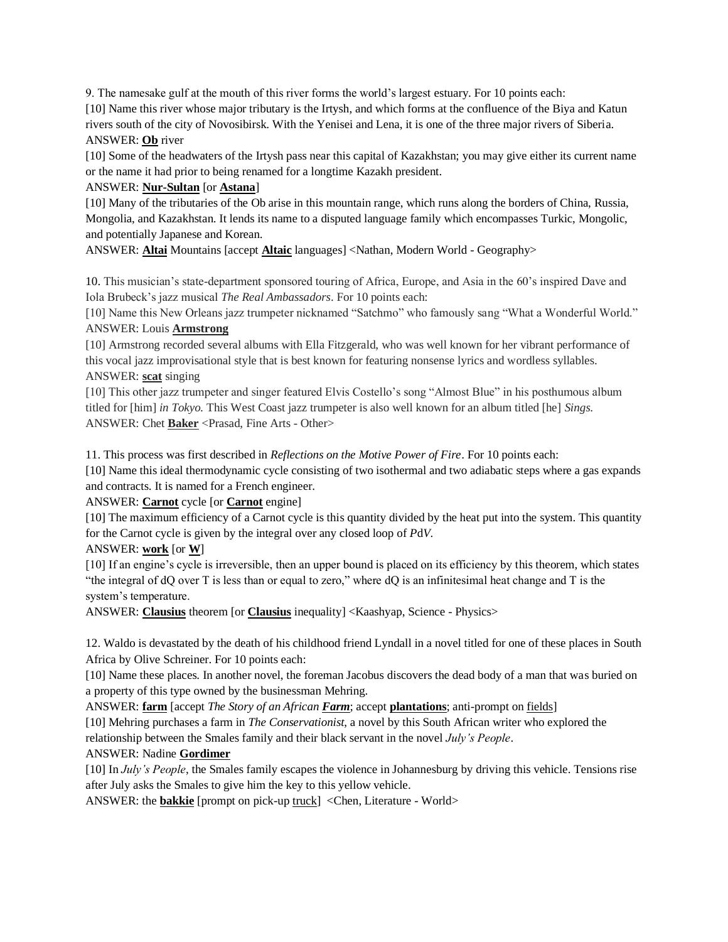9. The namesake gulf at the mouth of this river forms the world's largest estuary. For 10 points each:

[10] Name this river whose major tributary is the Irtysh, and which forms at the confluence of the Biya and Katun rivers south of the city of Novosibirsk. With the Yenisei and Lena, it is one of the three major rivers of Siberia. ANSWER: **Ob** river

[10] Some of the headwaters of the Irtysh pass near this capital of Kazakhstan; you may give either its current name or the name it had prior to being renamed for a longtime Kazakh president.

#### ANSWER: **Nur-Sultan** [or **Astana**]

[10] Many of the tributaries of the Ob arise in this mountain range, which runs along the borders of China, Russia, Mongolia, and Kazakhstan. It lends its name to a disputed language family which encompasses Turkic, Mongolic, and potentially Japanese and Korean.

ANSWER: **Altai** Mountains [accept **Altaic** languages] <Nathan, Modern World - Geography>

10. This musician's state-department sponsored touring of Africa, Europe, and Asia in the 60's inspired Dave and Iola Brubeck's jazz musical *The Real Ambassadors*. For 10 points each:

[10] Name this New Orleans jazz trumpeter nicknamed "Satchmo" who famously sang "What a Wonderful World." ANSWER: Louis **Armstrong**

[10] Armstrong recorded several albums with Ella Fitzgerald, who was well known for her vibrant performance of this vocal jazz improvisational style that is best known for featuring nonsense lyrics and wordless syllables. ANSWER: **scat** singing

[10] This other jazz trumpeter and singer featured Elvis Costello's song "Almost Blue" in his posthumous album titled for [him] *in Tokyo.* This West Coast jazz trumpeter is also well known for an album titled [he] *Sings*. ANSWER: Chet **Baker** <Prasad, Fine Arts - Other>

11. This process was first described in *Reflections on the Motive Power of Fire*. For 10 points each:

[10] Name this ideal thermodynamic cycle consisting of two isothermal and two adiabatic steps where a gas expands and contracts. It is named for a French engineer.

ANSWER: **Carnot** cycle [or **Carnot** engine]

[10] The maximum efficiency of a Carnot cycle is this quantity divided by the heat put into the system. This quantity for the Carnot cycle is given by the integral over any closed loop of *P*d*V*.

#### ANSWER: **work** [or **W**]

[10] If an engine's cycle is irreversible, then an upper bound is placed on its efficiency by this theorem, which states "the integral of dQ over T is less than or equal to zero," where dQ is an infinitesimal heat change and T is the system's temperature.

ANSWER: **Clausius** theorem [or **Clausius** inequality] <Kaashyap, Science - Physics>

12. Waldo is devastated by the death of his childhood friend Lyndall in a novel titled for one of these places in South Africa by Olive Schreiner. For 10 points each:

[10] Name these places. In another novel, the foreman Jacobus discovers the dead body of a man that was buried on a property of this type owned by the businessman Mehring.

ANSWER: **farm** [accept *The Story of an African Farm*; accept **plantations**; anti-prompt on fields]

[10] Mehring purchases a farm in *The Conservationist*, a novel by this South African writer who explored the

relationship between the Smales family and their black servant in the novel *July's People*.

#### ANSWER: Nadine **Gordimer**

[10] In *July's People*, the Smales family escapes the violence in Johannesburg by driving this vehicle. Tensions rise after July asks the Smales to give him the key to this yellow vehicle.

ANSWER: the **bakkie** [prompt on pick-up truck] <Chen, Literature - World>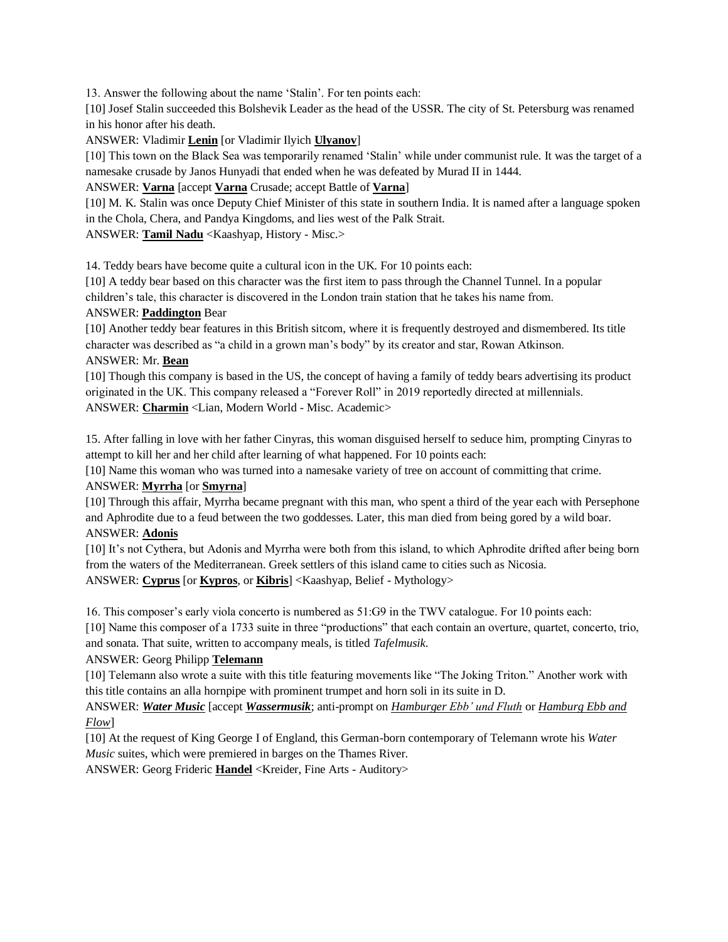13. Answer the following about the name 'Stalin'. For ten points each:

[10] Josef Stalin succeeded this Bolshevik Leader as the head of the USSR. The city of St. Petersburg was renamed in his honor after his death.

ANSWER: Vladimir **Lenin** [or Vladimir Ilyich **Ulyanov**]

[10] This town on the Black Sea was temporarily renamed 'Stalin' while under communist rule. It was the target of a namesake crusade by Janos Hunyadi that ended when he was defeated by Murad II in 1444.

ANSWER: **Varna** [accept **Varna** Crusade; accept Battle of **Varna**]

[10] M. K. Stalin was once Deputy Chief Minister of this state in southern India. It is named after a language spoken in the Chola, Chera, and Pandya Kingdoms, and lies west of the Palk Strait.

ANSWER: **Tamil Nadu** <Kaashyap, History - Misc.>

14. Teddy bears have become quite a cultural icon in the UK. For 10 points each:

[10] A teddy bear based on this character was the first item to pass through the Channel Tunnel. In a popular children's tale, this character is discovered in the London train station that he takes his name from.

### ANSWER: **Paddington** Bear

[10] Another teddy bear features in this British sitcom, where it is frequently destroyed and dismembered. Its title character was described as "a child in a grown man's body" by its creator and star, Rowan Atkinson.

#### ANSWER: Mr. **Bean**

[10] Though this company is based in the US, the concept of having a family of teddy bears advertising its product originated in the UK. This company released a "Forever Roll" in 2019 reportedly directed at millennials. ANSWER: **Charmin** <Lian, Modern World - Misc. Academic>

15. After falling in love with her father Cinyras, this woman disguised herself to seduce him, prompting Cinyras to attempt to kill her and her child after learning of what happened. For 10 points each:

[10] Name this woman who was turned into a namesake variety of tree on account of committing that crime. ANSWER: **Myrrha** [or **Smyrna**]

[10] Through this affair, Myrrha became pregnant with this man, who spent a third of the year each with Persephone and Aphrodite due to a feud between the two goddesses. Later, this man died from being gored by a wild boar. ANSWER: **Adonis**

[10] It's not Cythera, but Adonis and Myrrha were both from this island, to which Aphrodite drifted after being born from the waters of the Mediterranean. Greek settlers of this island came to cities such as Nicosia. ANSWER: **Cyprus** [or **Kypros**, or **Kibris**] <Kaashyap, Belief - Mythology>

16. This composer's early viola concerto is numbered as 51:G9 in the TWV catalogue. For 10 points each:

[10] Name this composer of a 1733 suite in three "productions" that each contain an overture, quartet, concerto, trio, and sonata. That suite, written to accompany meals, is titled *Tafelmusik*.

#### ANSWER: Georg Philipp **Telemann**

[10] Telemann also wrote a suite with this title featuring movements like "The Joking Triton." Another work with this title contains an alla hornpipe with prominent trumpet and horn soli in its suite in D.

ANSWER: *Water Music* [accept *Wassermusik*; anti-prompt on *Hamburger Ebb' und Fluth* or *Hamburg Ebb and Flow*]

[10] At the request of King George I of England, this German-born contemporary of Telemann wrote his *Water Music* suites, which were premiered in barges on the Thames River.

ANSWER: Georg Frideric **Handel** <Kreider, Fine Arts - Auditory>